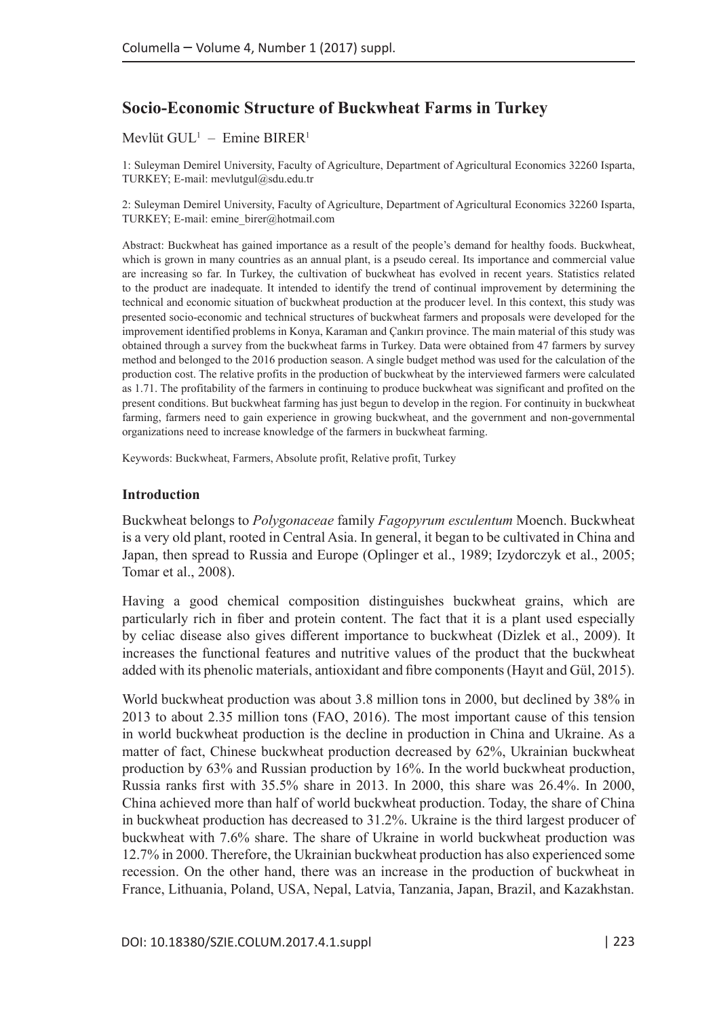# **Socio-Economic Structure of Buckwheat Farms in Turkey**

#### Mevlüt GUL<sup>1</sup> – Emine BIRER<sup>1</sup>

1: Suleyman Demirel University, Faculty of Agriculture, Department of Agricultural Economics 32260 Isparta, TURKEY; E-mail: mevlutgul@sdu.edu.tr

2: Suleyman Demirel University, Faculty of Agriculture, Department of Agricultural Economics 32260 Isparta, TURKEY; E-mail: emine\_birer@hotmail.com

Abstract: Buckwheat has gained importance as a result of the people's demand for healthy foods. Buckwheat, which is grown in many countries as an annual plant, is a pseudo cereal. Its importance and commercial value are increasing so far. In Turkey, the cultivation of buckwheat has evolved in recent years. Statistics related to the product are inadequate. It intended to identify the trend of continual improvement by determining the technical and economic situation of buckwheat production at the producer level. In this context, this study was presented socio-economic and technical structures of buckwheat farmers and proposals were developed for the improvement identified problems in Konya, Karaman and Çankırı province. The main material of this study was obtained through a survey from the buckwheat farms in Turkey. Data were obtained from 47 farmers by survey method and belonged to the 2016 production season. A single budget method was used for the calculation of the production cost. The relative profits in the production of buckwheat by the interviewed farmers were calculated as 1.71. The profitability of the farmers in continuing to produce buckwheat was significant and profited on the present conditions. But buckwheat farming has just begun to develop in the region. For continuity in buckwheat farming, farmers need to gain experience in growing buckwheat, and the government and non-governmental organizations need to increase knowledge of the farmers in buckwheat farming.

Keywords: Buckwheat, Farmers, Absolute profit, Relative profit, Turkey

#### **Introduction**

Buckwheat belongs to *Polygonaceae* family *Fagopyrum esculentum* Moench. Buckwheat is a very old plant, rooted in Central Asia. In general, it began to be cultivated in China and Japan, then spread to Russia and Europe (Oplinger et al., 1989; Izydorczyk et al., 2005; Tomar et al., 2008).

Having a good chemical composition distinguishes buckwheat grains, which are particularly rich in fiber and protein content. The fact that it is a plant used especially by celiac disease also gives different importance to buckwheat (Dizlek et al., 2009). It increases the functional features and nutritive values of the product that the buckwheat added with its phenolic materials, antioxidant and fibre components (Hayıt and Gül, 2015).

World buckwheat production was about 3.8 million tons in 2000, but declined by 38% in 2013 to about 2.35 million tons (FAO, 2016). The most important cause of this tension in world buckwheat production is the decline in production in China and Ukraine. As a matter of fact, Chinese buckwheat production decreased by 62%, Ukrainian buckwheat production by 63% and Russian production by 16%. In the world buckwheat production, Russia ranks first with 35.5% share in 2013. In 2000, this share was 26.4%. In 2000, China achieved more than half of world buckwheat production. Today, the share of China in buckwheat production has decreased to 31.2%. Ukraine is the third largest producer of buckwheat with 7.6% share. The share of Ukraine in world buckwheat production was 12.7% in 2000. Therefore, the Ukrainian buckwheat production has also experienced some recession. On the other hand, there was an increase in the production of buckwheat in France, Lithuania, Poland, USA, Nepal, Latvia, Tanzania, Japan, Brazil, and Kazakhstan.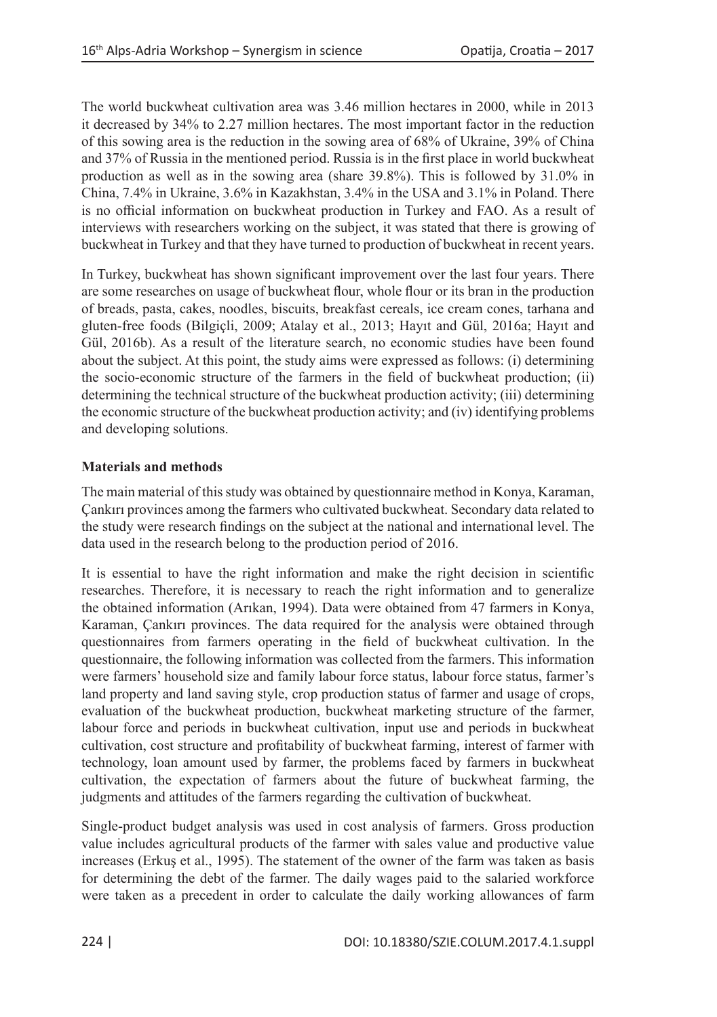The world buckwheat cultivation area was 3.46 million hectares in 2000, while in 2013 it decreased by 34% to 2.27 million hectares. The most important factor in the reduction of this sowing area is the reduction in the sowing area of 68% of Ukraine, 39% of China and 37% of Russia in the mentioned period. Russia is in the first place in world buckwheat production as well as in the sowing area (share 39.8%). This is followed by 31.0% in China, 7.4% in Ukraine, 3.6% in Kazakhstan, 3.4% in the USA and 3.1% in Poland. There is no official information on buckwheat production in Turkey and FAO. As a result of interviews with researchers working on the subject, it was stated that there is growing of buckwheat in Turkey and that they have turned to production of buckwheat in recent years.

In Turkey, buckwheat has shown significant improvement over the last four years. There are some researches on usage of buckwheat flour, whole flour or its bran in the production of breads, pasta, cakes, noodles, biscuits, breakfast cereals, ice cream cones, tarhana and gluten-free foods (Bilgiçli, 2009; Atalay et al., 2013; Hayıt and Gül, 2016a; Hayıt and Gül, 2016b). As a result of the literature search, no economic studies have been found about the subject. At this point, the study aims were expressed as follows: (i) determining the socio-economic structure of the farmers in the field of buckwheat production; (ii) determining the technical structure of the buckwheat production activity; (iii) determining the economic structure of the buckwheat production activity; and (iv) identifying problems and developing solutions.

# **Materials and methods**

The main material of this study was obtained by questionnaire method in Konya, Karaman, Çankırı provinces among the farmers who cultivated buckwheat. Secondary data related to the study were research findings on the subject at the national and international level. The data used in the research belong to the production period of 2016.

It is essential to have the right information and make the right decision in scientific researches. Therefore, it is necessary to reach the right information and to generalize the obtained information (Arıkan, 1994). Data were obtained from 47 farmers in Konya, Karaman, Çankırı provinces. The data required for the analysis were obtained through questionnaires from farmers operating in the field of buckwheat cultivation. In the questionnaire, the following information was collected from the farmers. This information were farmers' household size and family labour force status, labour force status, farmer's land property and land saving style, crop production status of farmer and usage of crops, evaluation of the buckwheat production, buckwheat marketing structure of the farmer, labour force and periods in buckwheat cultivation, input use and periods in buckwheat cultivation, cost structure and profitability of buckwheat farming, interest of farmer with technology, loan amount used by farmer, the problems faced by farmers in buckwheat cultivation, the expectation of farmers about the future of buckwheat farming, the judgments and attitudes of the farmers regarding the cultivation of buckwheat.

Single-product budget analysis was used in cost analysis of farmers. Gross production value includes agricultural products of the farmer with sales value and productive value increases (Erkuş et al., 1995). The statement of the owner of the farm was taken as basis for determining the debt of the farmer. The daily wages paid to the salaried workforce were taken as a precedent in order to calculate the daily working allowances of farm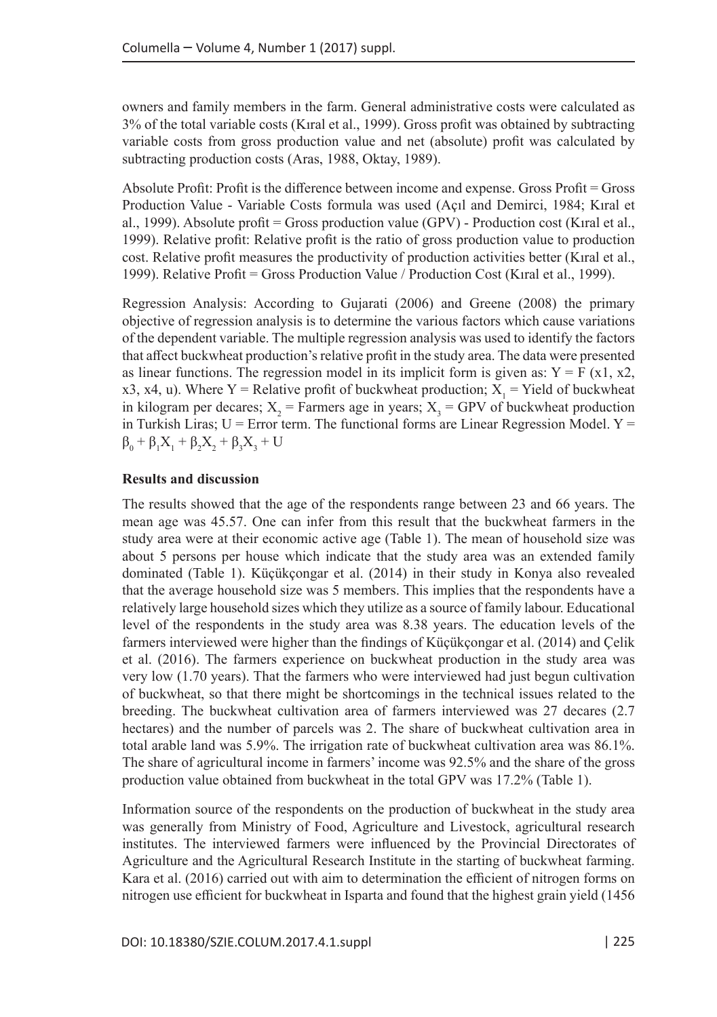owners and family members in the farm. General administrative costs were calculated as 3% of the total variable costs (Kıral et al., 1999). Gross profit was obtained by subtracting variable costs from gross production value and net (absolute) profit was calculated by subtracting production costs (Aras, 1988, Oktay, 1989).

Absolute Profit: Profit is the difference between income and expense. Gross Profit = Gross Production Value - Variable Costs formula was used (Açıl and Demirci, 1984; Kıral et al., 1999). Absolute profit = Gross production value (GPV) - Production cost (Kıral et al., 1999). Relative profit: Relative profit is the ratio of gross production value to production cost. Relative profit measures the productivity of production activities better (Kıral et al., 1999). Relative Profit = Gross Production Value / Production Cost (Kıral et al., 1999).

Regression Analysis: According to Gujarati (2006) and Greene (2008) the primary objective of regression analysis is to determine the various factors which cause variations of the dependent variable. The multiple regression analysis was used to identify the factors that affect buckwheat production's relative profit in the study area. The data were presented as linear functions. The regression model in its implicit form is given as:  $Y = F(x1, x2,$ x3, x4, u). Where Y = Relative profit of buckwheat production;  $X_1$  = Yield of buckwheat in kilogram per decares;  $X_2$  = Farmers age in years;  $X_3$  = GPV of buckwheat production in Turkish Liras;  $U =$  Error term. The functional forms are Linear Regression Model.  $Y =$  $β_0 + β_1X_1 + β_2X_2 + β_3X_3 + U$ 

### **Results and discussion**

The results showed that the age of the respondents range between 23 and 66 years. The mean age was 45.57. One can infer from this result that the buckwheat farmers in the study area were at their economic active age (Table 1). The mean of household size was about 5 persons per house which indicate that the study area was an extended family dominated (Table 1). Küçükçongar et al. (2014) in their study in Konya also revealed that the average household size was 5 members. This implies that the respondents have a relatively large household sizes which they utilize as a source of family labour. Educational level of the respondents in the study area was 8.38 years. The education levels of the farmers interviewed were higher than the findings of Küçükçongar et al. (2014) and Çelik et al. (2016). The farmers experience on buckwheat production in the study area was very low (1.70 years). That the farmers who were interviewed had just begun cultivation of buckwheat, so that there might be shortcomings in the technical issues related to the breeding. The buckwheat cultivation area of farmers interviewed was 27 decares (2.7 hectares) and the number of parcels was 2. The share of buckwheat cultivation area in total arable land was 5.9%. The irrigation rate of buckwheat cultivation area was 86.1%. The share of agricultural income in farmers' income was 92.5% and the share of the gross production value obtained from buckwheat in the total GPV was 17.2% (Table 1).

Information source of the respondents on the production of buckwheat in the study area was generally from Ministry of Food, Agriculture and Livestock, agricultural research institutes. The interviewed farmers were influenced by the Provincial Directorates of Agriculture and the Agricultural Research Institute in the starting of buckwheat farming. Kara et al. (2016) carried out with aim to determination the efficient of nitrogen forms on nitrogen use efficient for buckwheat in Isparta and found that the highest grain yield (1456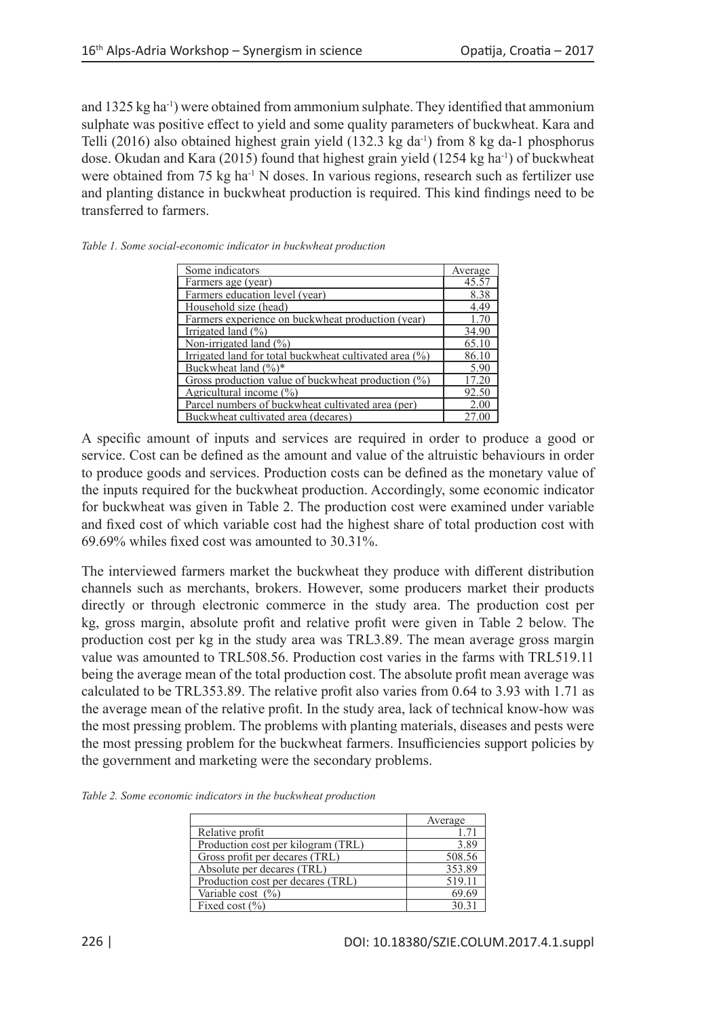and 1325 kg ha-1) were obtained from ammonium sulphate. They identified that ammonium sulphate was positive effect to yield and some quality parameters of buckwheat. Kara and Telli (2016) also obtained highest grain yield (132.3 kg da-1) from 8 kg da-1 phosphorus dose. Okudan and Kara (2015) found that highest grain yield (1254 kg ha-1) of buckwheat were obtained from 75 kg ha<sup>-1</sup> N doses. In various regions, research such as fertilizer use and planting distance in buckwheat production is required. This kind findings need to be transferred to farmers.

| Some indicators                                        | Average |
|--------------------------------------------------------|---------|
| Farmers age (year)                                     | 45.57   |
| Farmers education level (year)                         | 8.38    |
| Household size (head)                                  | 4.49    |
| Farmers experience on buckwheat production (year)      | 1.70    |
| Irrigated land $(\% )$                                 | 34.90   |
| Non-irrigated land $(\% )$                             | 65.10   |
| Irrigated land for total buckwheat cultivated area (%) | 86.10   |
| Buckwheat land (%)*                                    | 5.90    |
| Gross production value of buckwheat production $(\%)$  | 17.20   |
| Agricultural income $(\%)$                             | 92.50   |
| Parcel numbers of buckwheat cultivated area (per)      | 2.00    |
| Buckwheat cultivated area (decares)                    | 27.00   |

*Table 1. Some social-economic indicator in buckwheat production*

A specific amount of inputs and services are required in order to produce a good or service. Cost can be defined as the amount and value of the altruistic behaviours in order to produce goods and services. Production costs can be defined as the monetary value of the inputs required for the buckwheat production. Accordingly, some economic indicator for buckwheat was given in Table 2. The production cost were examined under variable and fixed cost of which variable cost had the highest share of total production cost with 69.69% whiles fixed cost was amounted to 30.31%.

The interviewed farmers market the buckwheat they produce with different distribution channels such as merchants, brokers. However, some producers market their products directly or through electronic commerce in the study area. The production cost per kg, gross margin, absolute profit and relative profit were given in Table 2 below. The production cost per kg in the study area was TRL3.89. The mean average gross margin value was amounted to TRL508.56. Production cost varies in the farms with TRL519.11 being the average mean of the total production cost. The absolute profit mean average was calculated to be TRL353.89. The relative profit also varies from 0.64 to 3.93 with 1.71 as the average mean of the relative profit. In the study area, lack of technical know-how was the most pressing problem. The problems with planting materials, diseases and pests were the most pressing problem for the buckwheat farmers. Insufficiencies support policies by the government and marketing were the secondary problems.

*Table 2. Some economic indicators in the buckwheat production*

|                                    | Average |  |
|------------------------------------|---------|--|
| Relative profit                    | 1.71    |  |
| Production cost per kilogram (TRL) | 3.89    |  |
| Gross profit per decares (TRL)     | 508.56  |  |
| Absolute per decares (TRL)         | 353.89  |  |
| Production cost per decares (TRL)  | 519.11  |  |
| Variable cost $(\% )$              | 69.69   |  |
| Fixed cost $(\% )$                 | 3031    |  |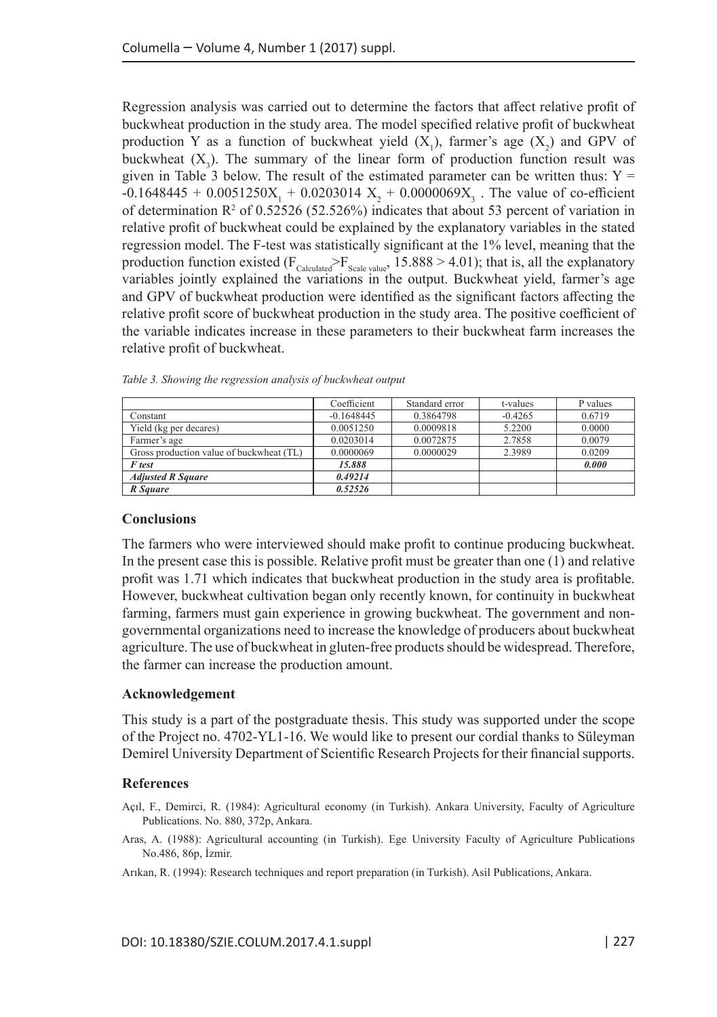Regression analysis was carried out to determine the factors that affect relative profit of buckwheat production in the study area. The model specified relative profit of buckwheat production Y as a function of buckwheat yield  $(X_1)$ , farmer's age  $(X_2)$  and GPV of buckwheat  $(X_3)$ . The summary of the linear form of production function result was given in Table 3 below. The result of the estimated parameter can be written thus:  $Y =$  $-0.1648445 + 0.0051250X_1 + 0.0203014X_2 + 0.0000069X_3$ . The value of co-efficient of determination  $\mathbb{R}^2$  of 0.52526 (52.526%) indicates that about 53 percent of variation in relative profit of buckwheat could be explained by the explanatory variables in the stated regression model. The F-test was statistically significant at the 1% level, meaning that the production function existed ( $F_{\text{Calculated}}$  $F_{\text{Scale value}}$ , 15.888 > 4.01); that is, all the explanatory variables jointly explained the variations in the output. Buckwheat yield, farmer's age and GPV of buckwheat production were identified as the significant factors affecting the relative profit score of buckwheat production in the study area. The positive coefficient of the variable indicates increase in these parameters to their buckwheat farm increases the relative profit of buckwheat.

|                                          | Coefficient  | Standard error | t-values  | P values |
|------------------------------------------|--------------|----------------|-----------|----------|
| Constant                                 | $-0.1648445$ | 0.3864798      | $-0.4265$ | 0.6719   |
| Yield (kg per decares)                   | 0.0051250    | 0.0009818      | 5.2200    | 0.0000   |
| Farmer's age                             | 0.0203014    | 0.0072875      | 2.7858    | 0.0079   |
| Gross production value of buckwheat (TL) | 0.0000069    | 0.0000029      | 2.3989    | 0.0209   |
| <b>F</b> test                            | 15,888       |                |           | 0.000    |
| <b>Adjusted R Square</b>                 | 0.49214      |                |           |          |
| R Sauare                                 | 0.52526      |                |           |          |

*Table 3. Showing the regression analysis of buckwheat output* 

#### **Conclusions**

The farmers who were interviewed should make profit to continue producing buckwheat. In the present case this is possible. Relative profit must be greater than one (1) and relative profit was 1.71 which indicates that buckwheat production in the study area is profitable. However, buckwheat cultivation began only recently known, for continuity in buckwheat farming, farmers must gain experience in growing buckwheat. The government and nongovernmental organizations need to increase the knowledge of producers about buckwheat agriculture. The use of buckwheat in gluten-free products should be widespread. Therefore, the farmer can increase the production amount.

# **Acknowledgement**

This study is a part of the postgraduate thesis. This study was supported under the scope of the Project no. 4702-YL1-16. We would like to present our cordial thanks to Süleyman Demirel University Department of Scientific Research Projects for their financial supports.

# **References**

- Açıl, F., Demirci, R. (1984): Agricultural economy (in Turkish). Ankara University, Faculty of Agriculture Publications. No. 880, 372p, Ankara.
- Aras, A. (1988): Agricultural accounting (in Turkish). Ege University Faculty of Agriculture Publications No.486, 86p, İzmir.
- Arıkan, R. (1994): Research techniques and report preparation (in Turkish). Asil Publications, Ankara.